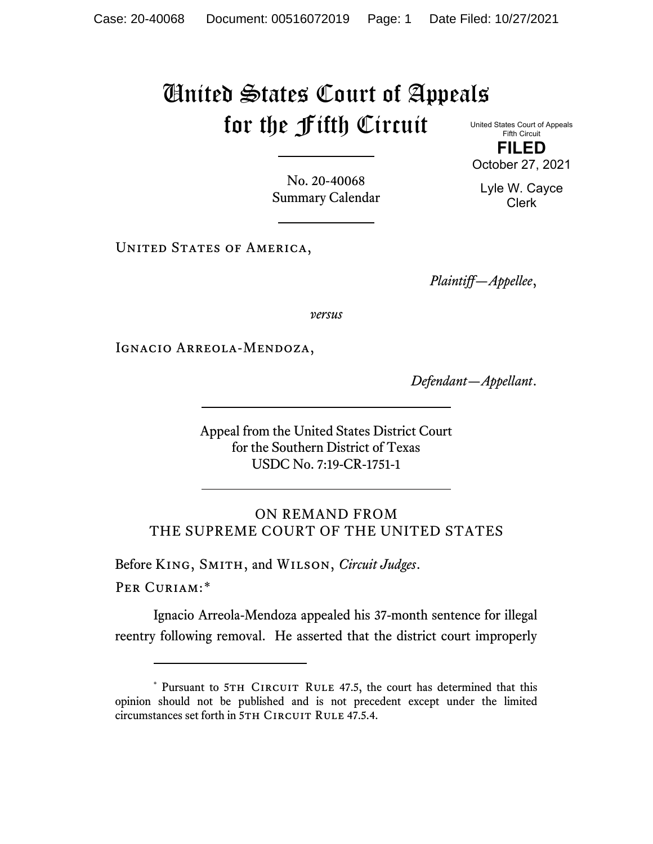# United States Court of Appeals for the Fifth Circuit

United States Court of Appeals Fifth Circuit **FILED**

October 27, 2021

Lyle W. Cayce Clerk

No. 20-40068 Summary Calendar

UNITED STATES OF AMERICA,

*Plaintiff—Appellee*,

*versus*

Ignacio Arreola-Mendoza,

*Defendant—Appellant*.

Appeal from the United States District Court for the Southern District of Texas USDC No. 7:19-CR-1751-1

ON REMAND FROM THE SUPREME COURT OF THE UNITED STATES

Before King, Smith, and Wilson, *Circuit Judges*.

Per Curiam:[\\*](#page-0-0)

Ignacio Arreola-Mendoza appealed his 37-month sentence for illegal reentry following removal. He asserted that the district court improperly

<span id="page-0-0"></span><sup>\*</sup> Pursuant to 5TH CIRCUIT RULE 47.5, the court has determined that this opinion should not be published and is not precedent except under the limited circumstances set forth in 5TH CIRCUIT RULE 47.5.4.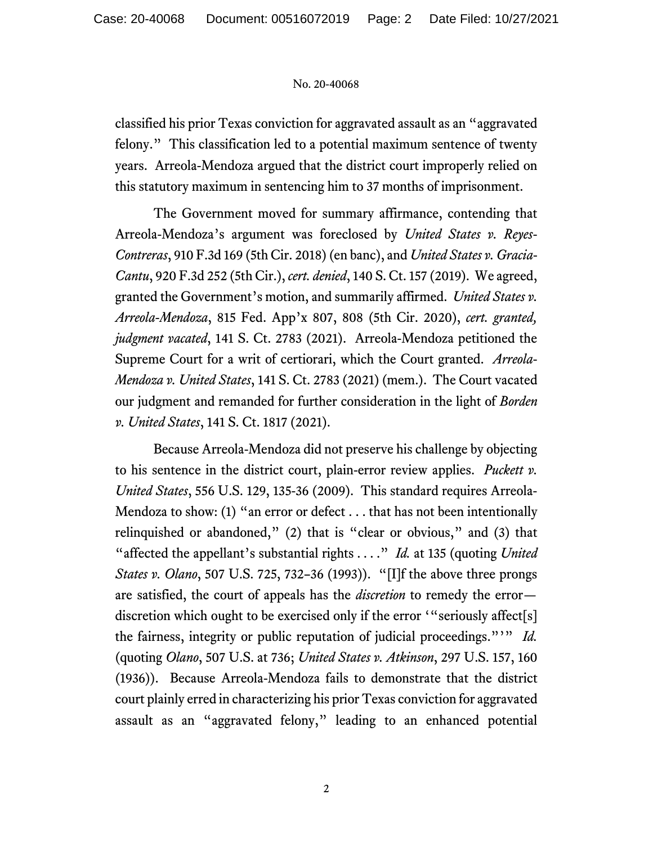classified his prior Texas conviction for aggravated assault as an "aggravated felony." This classification led to a potential maximum sentence of twenty years. Arreola-Mendoza argued that the district court improperly relied on this statutory maximum in sentencing him to 37 months of imprisonment.

The Government moved for summary affirmance, contending that Arreola-Mendoza's argument was foreclosed by *United States v. Reyes-Contreras*, 910 F.3d 169 (5th Cir. 2018) (en banc), and *United States v. Gracia-Cantu*, 920 F.3d 252 (5th Cir.), *cert. denied*, 140 S. Ct. 157 (2019). We agreed, granted the Government's motion, and summarily affirmed. *United States v. Arreola-Mendoza*, 815 Fed. App'x 807, 808 (5th Cir. 2020), *cert. granted, judgment vacated*, 141 S. Ct. 2783 (2021). Arreola-Mendoza petitioned the Supreme Court for a writ of certiorari, which the Court granted. *Arreola-Mendoza v. United States*, 141 S. Ct. 2783 (2021) (mem.). The Court vacated our judgment and remanded for further consideration in the light of *Borden v. United States*, 141 S. Ct. 1817 (2021).

Because Arreola-Mendoza did not preserve his challenge by objecting to his sentence in the district court, plain-error review applies. *Puckett v. United States*, 556 U.S. 129, 135-36 (2009). This standard requires Arreola-Mendoza to show: (1) "an error or defect . . . that has not been intentionally relinquished or abandoned," (2) that is "clear or obvious," and (3) that "affected the appellant's substantial rights . . . ." *Id.* at 135 (quoting *United States v. Olano*, 507 U.S. 725, 732–36 (1993)). "[I]f the above three prongs are satisfied, the court of appeals has the *discretion* to remedy the error discretion which ought to be exercised only if the error "seriously affect[s] the fairness, integrity or public reputation of judicial proceedings."'" *Id.*  (quoting *Olano*, 507 U.S. at 736; *United States v. Atkinson*, 297 U.S. 157, 160 (1936)). Because Arreola-Mendoza fails to demonstrate that the district court plainly erred in characterizing his prior Texas conviction for aggravated assault as an "aggravated felony," leading to an enhanced potential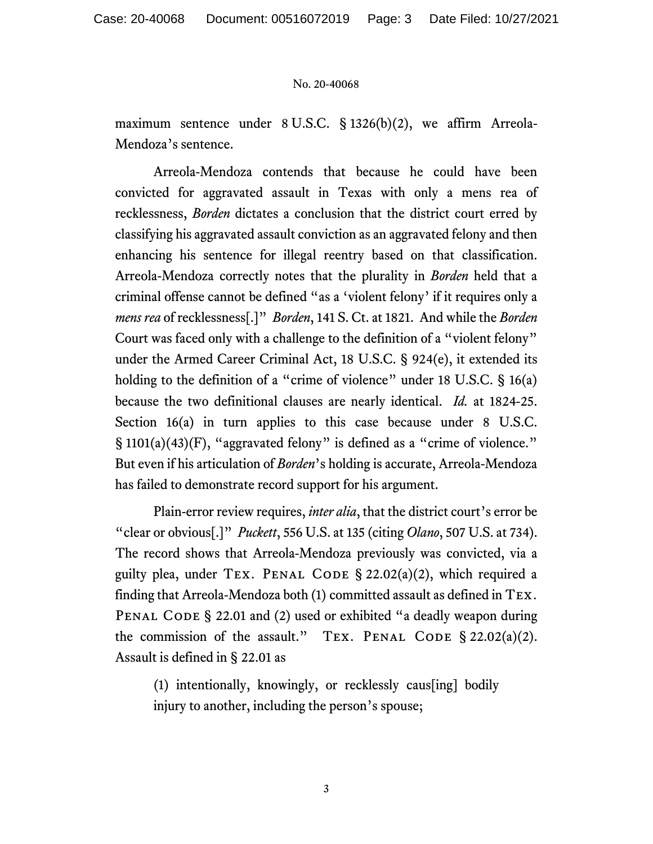maximum sentence under 8 U.S.C. § 1326(b)(2), we affirm Arreola-Mendoza's sentence.

Arreola-Mendoza contends that because he could have been convicted for aggravated assault in Texas with only a mens rea of recklessness, *Borden* dictates a conclusion that the district court erred by classifying his aggravated assault conviction as an aggravated felony and then enhancing his sentence for illegal reentry based on that classification. Arreola-Mendoza correctly notes that the plurality in *Borden* held that a criminal offense cannot be defined "as a 'violent felony' if it requires only a *mens rea* of recklessness[.]" *Borden*, 141 S. Ct. at 1821. And while the *Borden*  Court was faced only with a challenge to the definition of a "violent felony" under the Armed Career Criminal Act, 18 U.S.C. § 924(e), it extended its holding to the definition of a "crime of violence" under 18 U.S.C. § 16(a) because the two definitional clauses are nearly identical. *Id.* at 1824-25. Section 16(a) in turn applies to this case because under 8 U.S.C. § 1101(a)(43)(F), "aggravated felony" is defined as a "crime of violence." But even if his articulation of *Borden*'s holding is accurate, Arreola-Mendoza has failed to demonstrate record support for his argument.

Plain-error review requires, *inter alia*, that the district court's error be "clear or obvious[.]" *Puckett*, 556 U.S. at 135 (citing *Olano*, 507 U.S. at 734). The record shows that Arreola-Mendoza previously was convicted, via a guilty plea, under TEX. PENAL CODE  $\S 22.02(a)(2)$ , which required a finding that Arreola-Mendoza both (1) committed assault as defined in Tex. PENAL CODE § 22.01 and (2) used or exhibited "a deadly weapon during the commission of the assault." TEX. PENAL CODE  $\S 22.02(a)(2)$ . Assault is defined in § 22.01 as

(1) intentionally, knowingly, or recklessly caus[ing] bodily injury to another, including the person's spouse;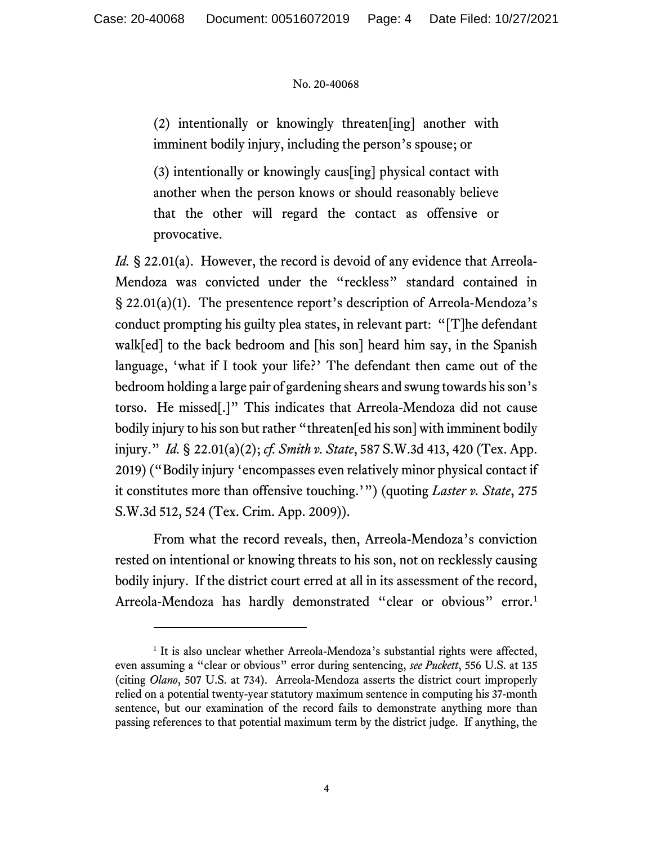(2) intentionally or knowingly threaten[ing] another with imminent bodily injury, including the person's spouse; or

(3) intentionally or knowingly caus[ing] physical contact with another when the person knows or should reasonably believe that the other will regard the contact as offensive or provocative.

*Id.* § 22.01(a). However, the record is devoid of any evidence that Arreola-Mendoza was convicted under the "reckless" standard contained in § 22.01(a)(1). The presentence report's description of Arreola-Mendoza's conduct prompting his guilty plea states, in relevant part: "[T]he defendant walk[ed] to the back bedroom and [his son] heard him say, in the Spanish language, 'what if I took your life?' The defendant then came out of the bedroom holding a large pair of gardening shears and swung towards his son's torso. He missed[.]" This indicates that Arreola-Mendoza did not cause bodily injury to his son but rather "threaten[ed his son] with imminent bodily injury." *Id.* § 22.01(a)(2); *cf. Smith v. State*, 587 S.W.3d 413, 420 (Tex. App. 2019) ("Bodily injury 'encompasses even relatively minor physical contact if it constitutes more than offensive touching.'") (quoting *Laster v. State*, 275 S.W.3d 512, 524 (Tex. Crim. App. 2009)).

From what the record reveals, then, Arreola-Mendoza's conviction rested on intentional or knowing threats to his son, not on recklessly causing bodily injury. If the district court erred at all in its assessment of the record, Arreola-Mendoza has hardly demonstrated "clear or obvious" error.<sup>[1](#page-3-0)</sup>

<span id="page-3-0"></span><sup>&</sup>lt;sup>1</sup> It is also unclear whether Arreola-Mendoza's substantial rights were affected, even assuming a "clear or obvious" error during sentencing, *see Puckett*, 556 U.S. at 135 (citing *Olano*, 507 U.S. at 734). Arreola-Mendoza asserts the district court improperly relied on a potential twenty-year statutory maximum sentence in computing his 37-month sentence, but our examination of the record fails to demonstrate anything more than passing references to that potential maximum term by the district judge. If anything, the